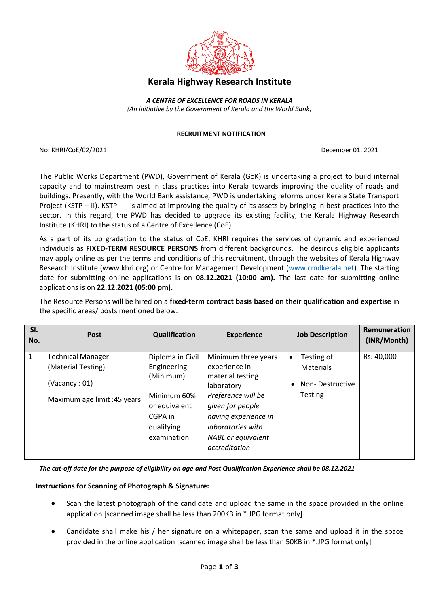

## **Kerala Highway Research Institute**

*A CENTRE OF EXCELLENCE FOR ROADS IN KERALA (An initiative by the Government of Kerala and the World Bank)*

## **RECRUITMENT NOTIFICATION**

No: KHRI/CoE/02/2021 December 01, 2021

The Public Works Department (PWD), Government of Kerala (GoK) is undertaking a project to build internal capacity and to mainstream best in class practices into Kerala towards improving the quality of roads and buildings. Presently, with the World Bank assistance, PWD is undertaking reforms under Kerala State Transport Project (KSTP – II). KSTP - II is aimed at improving the quality of its assets by bringing in best practices into the sector. In this regard, the PWD has decided to upgrade its existing facility, the Kerala Highway Research Institute (KHRI) to the status of a Centre of Excellence (CoE).

As a part of its up gradation to the status of CoE, KHRI requires the services of dynamic and experienced individuals as **FIXED-TERM RESOURCE PERSONS** from different backgrounds**.** The desirous eligible applicants may apply online as per the terms and conditions of this recruitment, through the websites of Kerala Highway Research Institute (www.khri.org) or Centre for Management Development [\(www.cmdkerala.net\)](http://www.cmdkerala.net/). The starting date for submitting online applications is on **08.12.2021 (10:00 am).** The last date for submitting online applications is on **22.12.2021 (05:00 pm).**

The Resource Persons will be hired on a **fixed-term contract basis based on their qualification and expertise** in the specific areas/ posts mentioned below.

| SI.<br>No.   | <b>Post</b>                                  | <b>Qualification</b>                                                              | <b>Experience</b>                                                                                                                                                   | <b>Job Description</b>                         | Remuneration<br>(INR/Month) |
|--------------|----------------------------------------------|-----------------------------------------------------------------------------------|---------------------------------------------------------------------------------------------------------------------------------------------------------------------|------------------------------------------------|-----------------------------|
| $\mathbf{1}$ | <b>Technical Manager</b>                     | Diploma in Civil                                                                  | Minimum three years                                                                                                                                                 | Testing of<br>٠                                | Rs. 40,000                  |
|              | (Material Testing)                           | Engineering                                                                       | experience in                                                                                                                                                       | Materials                                      |                             |
|              | (Vacancy: 01)<br>Maximum age limit :45 years | (Minimum)<br>Minimum 60%<br>or equivalent<br>CGPA in<br>qualifying<br>examination | material testing<br>laboratory<br>Preference will be<br>given for people<br>having experience in<br>laboratories with<br><b>NABL</b> or equivalent<br>accreditation | Non-Destructive<br>$\bullet$<br><b>Testing</b> |                             |

*The cut-off date for the purpose of eligibility on age and Post Qualification Experience shall be 08.12.2021*

## **Instructions for Scanning of Photograph & Signature:**

- Scan the latest photograph of the candidate and upload the same in the space provided in the online application [scanned image shall be less than 200KB in \*.JPG format only]
- Candidate shall make his / her signature on a whitepaper, scan the same and upload it in the space provided in the online application [scanned image shall be less than 50KB in \*.JPG format only]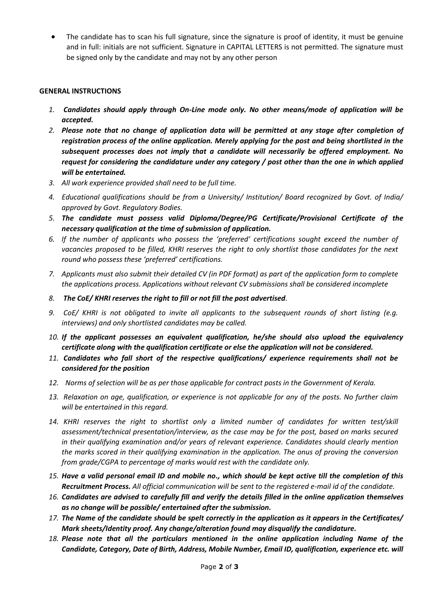The candidate has to scan his full signature, since the signature is proof of identity, it must be genuine and in full: initials are not sufficient. Signature in CAPITAL LETTERS is not permitted. The signature must be signed only by the candidate and may not by any other person

## **GENERAL INSTRUCTIONS**

- *1. Candidates should apply through On-Line mode only. No other means/mode of application will be accepted.*
- *2. Please note that no change of application data will be permitted at any stage after completion of registration process of the online application. Merely applying for the post and being shortlisted in the subsequent processes does not imply that a candidate will necessarily be offered employment. No request for considering the candidature under any category / post other than the one in which applied will be entertained.*
- *3. All work experience provided shall need to be full time.*
- *4. Educational qualifications should be from a University/ Institution/ Board recognized by Govt. of India/ approved by Govt. Regulatory Bodies.*
- *5. The candidate must possess valid Diploma/Degree/PG Certificate/Provisional Certificate of the necessary qualification at the time of submission of application.*
- *6. If the number of applicants who possess the 'preferred' certifications sought exceed the number of vacancies proposed to be filled, KHRI reserves the right to only shortlist those candidates for the next round who possess these 'preferred' certifications.*
- *7. Applicants must also submit their detailed CV (in PDF format) as part of the application form to complete the applications process. Applications without relevant CV submissions shall be considered incomplete*
- *8. The CoE/ KHRI reserves the right to fill or not fill the post advertised.*
- *9. CoE/ KHRI is not obligated to invite all applicants to the subsequent rounds of short listing (e.g. interviews) and only shortlisted candidates may be called.*
- *10. If the applicant possesses an equivalent qualification, he/she should also upload the equivalency certificate along with the qualification certificate or else the application will not be considered.*
- *11. Candidates who fall short of the respective qualifications/ experience requirements shall not be considered for the position*
- 12. Norms of selection will be as per those applicable for contract posts in the Government of Kerala.
- *13. Relaxation on age, qualification, or experience is not applicable for any of the posts. No further claim will be entertained in this regard.*
- 14. KHRI reserves the right to shortlist only a limited number of candidates for written test/skill *assessment/technical presentation/interview, as the case may be for the post, based on marks secured in their qualifying examination and/or years of relevant experience. Candidates should clearly mention the marks scored in their qualifying examination in the application. The onus of proving the conversion from grade/CGPA to percentage of marks would rest with the candidate only.*
- *15. Have a valid personal email ID and mobile no., which should be kept active till the completion of this Recruitment Process. All official communication will be sent to the registered e-mail id of the candidate.*
- *16. Candidates are advised to carefully fill and verify the details filled in the online application themselves as no change will be possible/ entertained after the submission.*
- *17. The Name of the candidate should be spelt correctly in the application as it appears in the Certificates/ Mark sheets/Identity proof. Any change/alteration found may disqualify the candidature.*
- *18. Please note that all the particulars mentioned in the online application including Name of the Candidate, Category, Date of Birth, Address, Mobile Number, Email ID, qualification, experience etc. will*